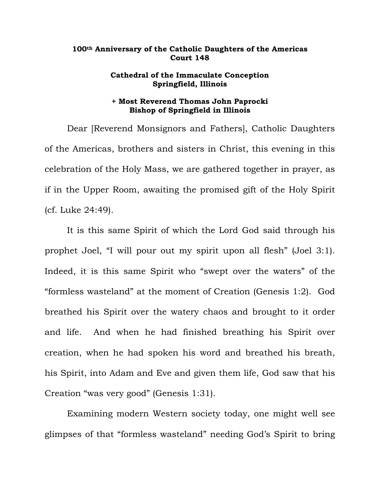## **100th Anniversary of the Catholic Daughters of the Americas Court 148**

## **Cathedral of the Immaculate Conception Springfield, Illinois**

## **+ Most Reverend Thomas John Paprocki Bishop of Springfield in Illinois**

Dear [Reverend Monsignors and Fathers], Catholic Daughters of the Americas, brothers and sisters in Christ, this evening in this celebration of the Holy Mass, we are gathered together in prayer, as if in the Upper Room, awaiting the promised gift of the Holy Spirit (cf. Luke 24:49).

It is this same Spirit of which the Lord God said through his prophet Joel, "I will pour out my spirit upon all flesh" (Joel 3:1). Indeed, it is this same Spirit who "swept over the waters" of the "formless wasteland" at the moment of Creation (Genesis 1:2). God breathed his Spirit over the watery chaos and brought to it order and life. And when he had finished breathing his Spirit over creation, when he had spoken his word and breathed his breath, his Spirit, into Adam and Eve and given them life, God saw that his Creation "was very good" (Genesis 1:31).

Examining modern Western society today, one might well see glimpses of that "formless wasteland" needing God's Spirit to bring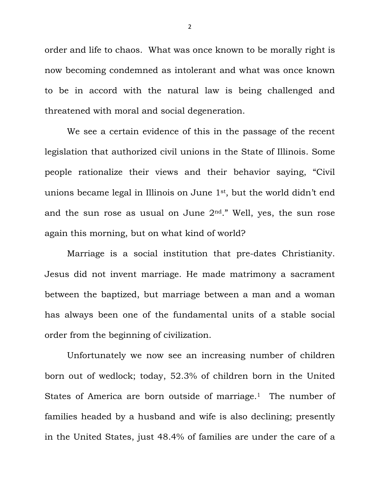order and life to chaos. What was once known to be morally right is now becoming condemned as intolerant and what was once known to be in accord with the natural law is being challenged and threatened with moral and social degeneration.

We see a certain evidence of this in the passage of the recent legislation that authorized civil unions in the State of Illinois. Some people rationalize their views and their behavior saying, "Civil unions became legal in Illinois on June 1st, but the world didn't end and the sun rose as usual on June  $2<sup>nd</sup>$ ." Well, yes, the sun rose again this morning, but on what kind of world?

Marriage is a social institution that pre-dates Christianity. Jesus did not invent marriage. He made matrimony a sacrament between the baptized, but marriage between a man and a woman has always been one of the fundamental units of a stable social order from the beginning of civilization.

Unfortunately we now see an increasing number of children born out of wedlock; today, 52.3% of children born in the United States of America are born outside of marriage.<sup>1</sup> The number of families headed by a husband and wife is also declining; presently in the United States, just 48.4% of families are under the care of a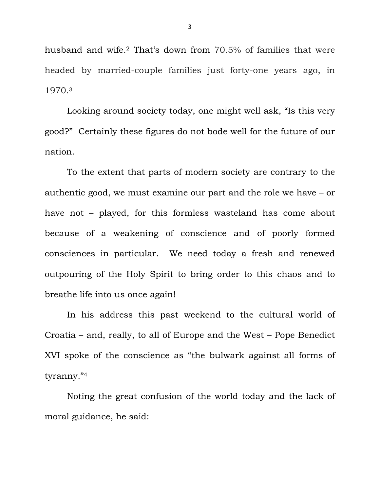husband and wife.2 That's down from 70.5% of families that were headed by married-couple families just forty-one years ago, in 1970.3

Looking around society today, one might well ask, "Is this very good?" Certainly these figures do not bode well for the future of our nation.

To the extent that parts of modern society are contrary to the authentic good, we must examine our part and the role we have – or have not – played, for this formless wasteland has come about because of a weakening of conscience and of poorly formed consciences in particular. We need today a fresh and renewed outpouring of the Holy Spirit to bring order to this chaos and to breathe life into us once again!

In his address this past weekend to the cultural world of Croatia – and, really, to all of Europe and the West – Pope Benedict XVI spoke of the conscience as "the bulwark against all forms of tyranny."4

 Noting the great confusion of the world today and the lack of moral guidance, he said:

3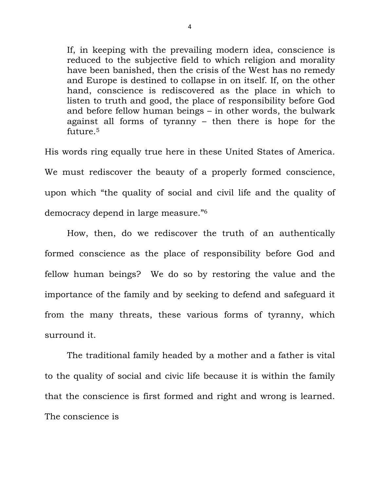If, in keeping with the prevailing modern idea, conscience is reduced to the subjective field to which religion and morality have been banished, then the crisis of the West has no remedy and Europe is destined to collapse in on itself. If, on the other hand, conscience is rediscovered as the place in which to listen to truth and good, the place of responsibility before God and before fellow human beings – in other words, the bulwark against all forms of tyranny – then there is hope for the future.5

His words ring equally true here in these United States of America. We must rediscover the beauty of a properly formed conscience, upon which "the quality of social and civil life and the quality of democracy depend in large measure."6

 How, then, do we rediscover the truth of an authentically formed conscience as the place of responsibility before God and fellow human beings? We do so by restoring the value and the importance of the family and by seeking to defend and safeguard it from the many threats, these various forms of tyranny, which surround it.

 The traditional family headed by a mother and a father is vital to the quality of social and civic life because it is within the family that the conscience is first formed and right and wrong is learned. The conscience is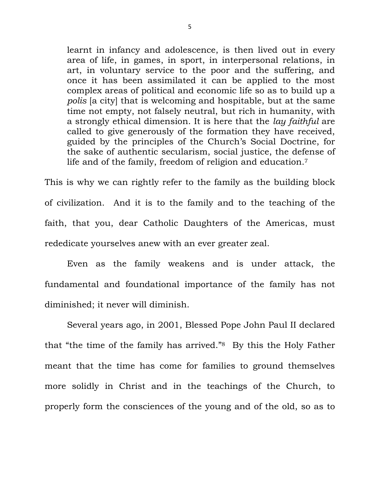learnt in infancy and adolescence, is then lived out in every area of life, in games, in sport, in interpersonal relations, in art, in voluntary service to the poor and the suffering, and once it has been assimilated it can be applied to the most complex areas of political and economic life so as to build up a *polis* [a city] that is welcoming and hospitable, but at the same time not empty, not falsely neutral, but rich in humanity, with a strongly ethical dimension. It is here that the *lay faithful* are called to give generously of the formation they have received, guided by the principles of the Church's Social Doctrine, for the sake of authentic secularism, social justice, the defense of life and of the family, freedom of religion and education.7

This is why we can rightly refer to the family as the building block of civilization. And it is to the family and to the teaching of the faith, that you, dear Catholic Daughters of the Americas, must rededicate yourselves anew with an ever greater zeal.

 Even as the family weakens and is under attack, the fundamental and foundational importance of the family has not diminished; it never will diminish.

Several years ago, in 2001, Blessed Pope John Paul II declared that "the time of the family has arrived."8 By this the Holy Father meant that the time has come for families to ground themselves more solidly in Christ and in the teachings of the Church, to properly form the consciences of the young and of the old, so as to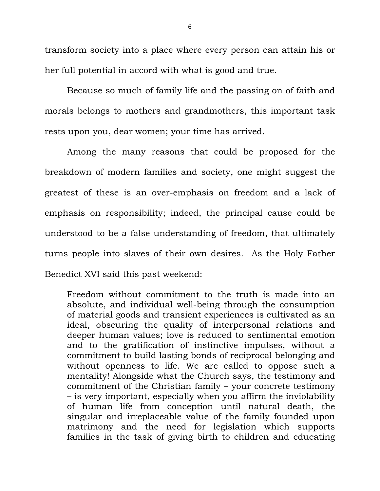transform society into a place where every person can attain his or her full potential in accord with what is good and true.

Because so much of family life and the passing on of faith and morals belongs to mothers and grandmothers, this important task rests upon you, dear women; your time has arrived.

 Among the many reasons that could be proposed for the breakdown of modern families and society, one might suggest the greatest of these is an over-emphasis on freedom and a lack of emphasis on responsibility; indeed, the principal cause could be understood to be a false understanding of freedom, that ultimately turns people into slaves of their own desires. As the Holy Father Benedict XVI said this past weekend:

Freedom without commitment to the truth is made into an absolute, and individual well-being through the consumption of material goods and transient experiences is cultivated as an ideal, obscuring the quality of interpersonal relations and deeper human values; love is reduced to sentimental emotion and to the gratification of instinctive impulses, without a commitment to build lasting bonds of reciprocal belonging and without openness to life. We are called to oppose such a mentality! Alongside what the Church says, the testimony and commitment of the Christian family – your concrete testimony – is very important, especially when you affirm the inviolability of human life from conception until natural death, the singular and irreplaceable value of the family founded upon matrimony and the need for legislation which supports families in the task of giving birth to children and educating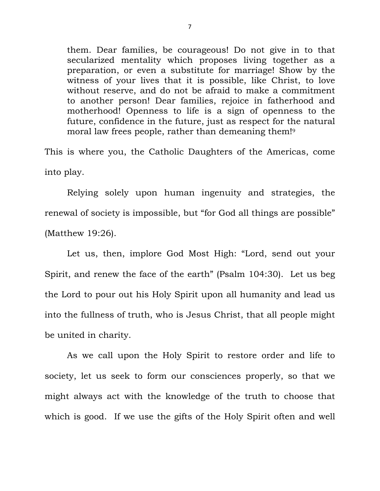them. Dear families, be courageous! Do not give in to that secularized mentality which proposes living together as a preparation, or even a substitute for marriage! Show by the witness of your lives that it is possible, like Christ, to love without reserve, and do not be afraid to make a commitment to another person! Dear families, rejoice in fatherhood and motherhood! Openness to life is a sign of openness to the future, confidence in the future, just as respect for the natural moral law frees people, rather than demeaning them!9

This is where you, the Catholic Daughters of the Americas, come into play.

 Relying solely upon human ingenuity and strategies, the renewal of society is impossible, but "for God all things are possible" (Matthew 19:26).

 Let us, then, implore God Most High: "Lord, send out your Spirit, and renew the face of the earth" (Psalm 104:30). Let us beg the Lord to pour out his Holy Spirit upon all humanity and lead us into the fullness of truth, who is Jesus Christ, that all people might be united in charity.

 As we call upon the Holy Spirit to restore order and life to society, let us seek to form our consciences properly, so that we might always act with the knowledge of the truth to choose that which is good. If we use the gifts of the Holy Spirit often and well